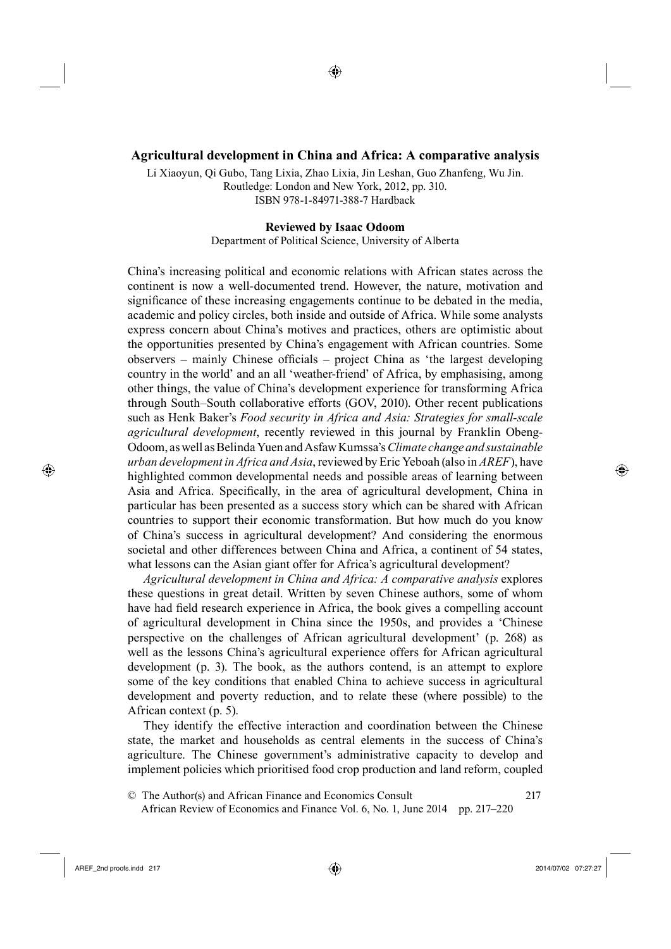## <sup>17</sup>**Agricultural development in China and Africa: A comparative analysis**

◈

Li Xiaoyun, Qi Gubo, Tang Lixia, Zhao Lixia, Jin Leshan, Guo Zhanfeng, Wu Jin. Routledge: London and New York, 2012, pp. 310. ISBN 978-1-84971-388-7 Hardback

## **Reviewed by Isaac Odoom**

Department of Political Science, University of Alberta

China's increasing political and economic relations with African states across the continent is now a well-documented trend. However, the nature, motivation and significance of these increasing engagements continue to be debated in the media, academic and policy circles, both inside and outside of Africa. While some analysts express concern about China's motives and practices, others are optimistic about the opportunities presented by China's engagement with African countries. Some observers – mainly Chinese officials – project China as 'the largest developing country in the world' and an all 'weather-friend' of Africa, by emphasising, among other things, the value of China's development experience for transforming Africa through South–South collaborative efforts (GOV, 2010). Other recent publications such as Henk Baker's *Food security in Africa and Asia: Strategies for small-scale agricultural development*, recently reviewed in this journal by Franklin Obeng-Odoom, as well as Belinda Yuen and Asfaw Kumssa's *Climate change and sustainable urban development in Africa and Asia*, reviewed by Eric Yeboah (also in *AREF*), have highlighted common developmental needs and possible areas of learning between Asia and Africa. Specifically, in the area of agricultural development, China in particular has been presented as a success story which can be shared with African countries to support their economic transformation. But how much do you know of China's success in agricultural development? And considering the enormous societal and other differences between China and Africa, a continent of 54 states, what lessons can the Asian giant offer for Africa's agricultural development?

<sup>297</sup>*Agricultural development in China and Africa: A comparative analysis* explores these questions in great detail. Written by seven Chinese authors, some of whom have had field research experience in Africa, the book gives a compelling account of agricultural development in China since the 1950s, and provides a 'Chinese perspective on the challenges of African agricultural development' (p. 268) as well as the lessons China's agricultural experience offers for African agricultural development (p. 3). The book, as the authors contend, is an attempt to explore some of the key conditions that enabled China to achieve success in agricultural development and poverty reduction, and to relate these (where possible) to the African context (p. 5).

They identify the effective interaction and coordination between the Chinese state, the market and households as central elements in the success of China's agriculture. The Chinese government's administrative capacity to develop and implement policies which prioritised food crop production and land reform, coupled

47© The Author(s) and African Finance and Economics Consult 217 African Review of Economics and Finance Vol. 6, No. 1, June 2014 pp. 217–220

AREF\_2nd proofs.indd 217 2014/07/02 07:27:27

⊕

⊕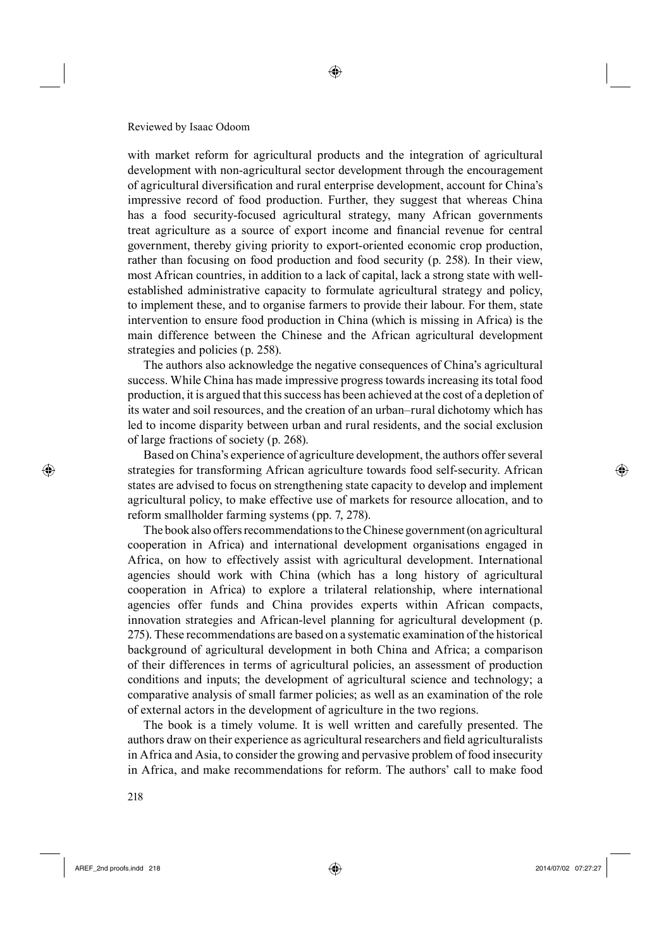Reviewed by Isaac Odoom

with market reform for agricultural products and the integration of agricultural development with non-agricultural sector development through the encouragement of agricultural diversification and rural enterprise development, account for China's impressive record of food production. Further, they suggest that whereas China has a food security-focused agricultural strategy, many African governments treat agriculture as a source of export income and financial revenue for central government, thereby giving priority to export-oriented economic crop production, rather than focusing on food production and food security (p. 258). In their view, most African countries, in addition to a lack of capital, lack a strong state with wellestablished administrative capacity to formulate agricultural strategy and policy, to implement these, and to organise farmers to provide their labour. For them, state intervention to ensure food production in China (which is missing in Africa) is the main difference between the Chinese and the African agricultural development strategies and policies (p. 258).

◈

The authors also acknowledge the negative consequences of China's agricultural success. While China has made impressive progress towards increasing its total food production, it is argued that this success has been achieved at the cost of a depletion of its water and soil resources, and the creation of an urban–rural dichotomy which has led to income disparity between urban and rural residents, and the social exclusion of large fractions of society (p. 268).

Based on China's experience of agriculture development, the authors offer several strategies for transforming African agriculture towards food self-security. African states are advised to focus on strengthening state capacity to develop and implement agricultural policy, to make effective use of markets for resource allocation, and to reform smallholder farming systems (pp. 7, 278).

The book also offers recommendations to the Chinese government (on agricultural cooperation in Africa) and international development organisations engaged in Africa, on how to effectively assist with agricultural development. International agencies should work with China (which has a long history of agricultural cooperation in Africa) to explore a trilateral relationship, where international agencies offer funds and China provides experts within African compacts, innovation strategies and African-level planning for agricultural development (p. 275). These recommendations are based on a systematic examination of the historical background of agricultural development in both China and Africa; a comparison of their differences in terms of agricultural policies, an assessment of production conditions and inputs; the development of agricultural science and technology; a comparative analysis of small farmer policies; as well as an examination of the role of external actors in the development of agriculture in the two regions.

The book is a timely volume. It is well written and carefully presented. The authors draw on their experience as agricultural researchers and field agriculturalists in Africa and Asia, to consider the growing and pervasive problem of food insecurity in Africa, and make recommendations for reform. The authors' call to make food

218

⊕

AREF\_2nd proofs.indd 218 2014/07/02 07:27:27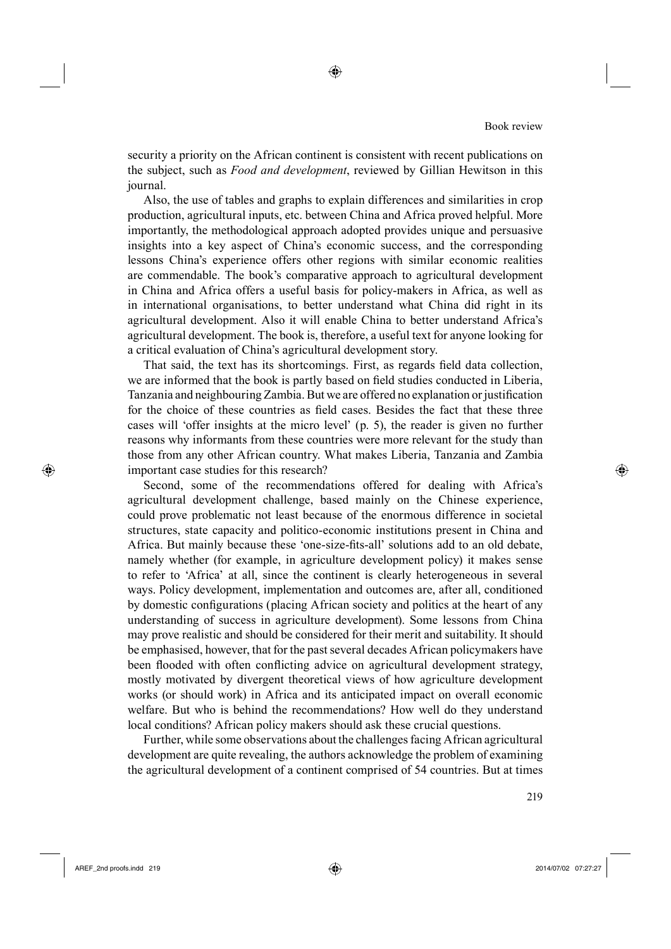Book review

security a priority on the African continent is consistent with recent publications on the subject, such as *Food and development*, reviewed by Gillian Hewitson in this journal.

◈

Also, the use of tables and graphs to explain differences and similarities in crop production, agricultural inputs, etc. between China and Africa proved helpful. More importantly, the methodological approach adopted provides unique and persuasive insights into a key aspect of China's economic success, and the corresponding lessons China's experience offers other regions with similar economic realities are commendable. The book's comparative approach to agricultural development in China and Africa offers a useful basis for policy-makers in Africa, as well as in international organisations, to better understand what China did right in its agricultural development. Also it will enable China to better understand Africa's agricultural development. The book is, therefore, a useful text for anyone looking for a critical evaluation of China's agricultural development story.

That said, the text has its shortcomings. First, as regards field data collection, we are informed that the book is partly based on field studies conducted in Liberia, Tanzania and neighbouring Zambia. But we are offered no explanation or justification for the choice of these countries as field cases. Besides the fact that these three cases will 'offer insights at the micro level' (p. 5), the reader is given no further reasons why informants from these countries were more relevant for the study than those from any other African country. What makes Liberia, Tanzania and Zambia important case studies for this research?

Second, some of the recommendations offered for dealing with Africa's agricultural development challenge, based mainly on the Chinese experience, could prove problematic not least because of the enormous difference in societal structures, state capacity and politico-economic institutions present in China and Africa. But mainly because these 'one-size-fits-all' solutions add to an old debate, namely whether (for example, in agriculture development policy) it makes sense to refer to 'Africa' at all, since the continent is clearly heterogeneous in several ways. Policy development, implementation and outcomes are, after all, conditioned by domestic configurations (placing African society and politics at the heart of any understanding of success in agriculture development). Some lessons from China may prove realistic and should be considered for their merit and suitability. It should be emphasised, however, that for the past several decades African policymakers have been flooded with often conflicting advice on agricultural development strategy, mostly motivated by divergent theoretical views of how agriculture development works (or should work) in Africa and its anticipated impact on overall economic welfare. But who is behind the recommendations? How well do they understand local conditions? African policy makers should ask these crucial questions.

Further, while some observations about the challenges facing African agricultural development are quite revealing, the authors acknowledge the problem of examining the agricultural development of a continent comprised of 54 countries. But at times

AREF\_2nd proofs.indd 219 2014/07/02 07:27:27

⊕

♠